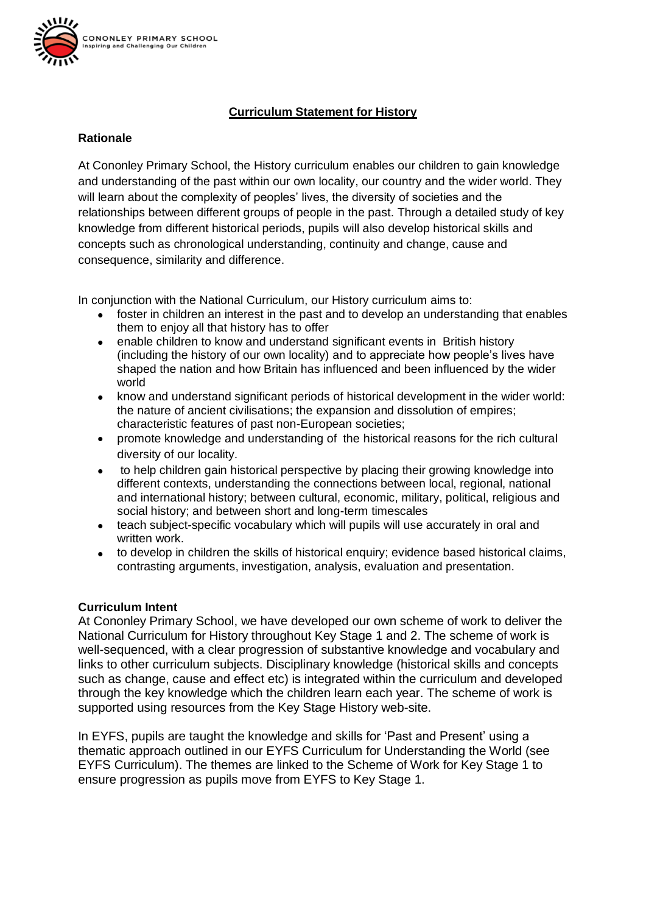

# **Curriculum Statement for History**

### **Rationale**

At Cononley Primary School, the History curriculum enables our children to gain knowledge and understanding of the past within our own locality, our country and the wider world. They will learn about the complexity of peoples' lives, the diversity of societies and the relationships between different groups of people in the past. Through a detailed study of key knowledge from different historical periods, pupils will also develop historical skills and concepts such as chronological understanding, continuity and change, cause and consequence, similarity and difference.

In conjunction with the National Curriculum, our History curriculum aims to:

- foster in children an interest in the past and to develop an understanding that enables them to enjoy all that history has to offer
- enable children to know and understand significant events in British history (including the history of our own locality) and to appreciate how people's lives have shaped the nation and how Britain has influenced and been influenced by the wider world
- know and understand significant periods of historical development in the wider world: the nature of ancient civilisations; the expansion and dissolution of empires; characteristic features of past non-European societies;
- promote knowledge and understanding of the historical reasons for the rich cultural diversity of our locality.
- to help children gain historical perspective by placing their growing knowledge into different contexts, understanding the connections between local, regional, national and international history; between cultural, economic, military, political, religious and social history; and between short and long-term timescales
- teach subject-specific vocabulary which will pupils will use accurately in oral and written work.
- to develop in children the skills of historical enquiry; evidence based historical claims, contrasting arguments, investigation, analysis, evaluation and presentation.

### **Curriculum Intent**

At Cononley Primary School, we have developed our own scheme of work to deliver the National Curriculum for History throughout Key Stage 1 and 2. The scheme of work is well-sequenced, with a clear progression of substantive knowledge and vocabulary and links to other curriculum subjects. Disciplinary knowledge (historical skills and concepts such as change, cause and effect etc) is integrated within the curriculum and developed through the key knowledge which the children learn each year. The scheme of work is supported using resources from the Key Stage History web-site.

In EYFS, pupils are taught the knowledge and skills for 'Past and Present' using a thematic approach outlined in our EYFS Curriculum for Understanding the World (see EYFS Curriculum). The themes are linked to the Scheme of Work for Key Stage 1 to ensure progression as pupils move from EYFS to Key Stage 1.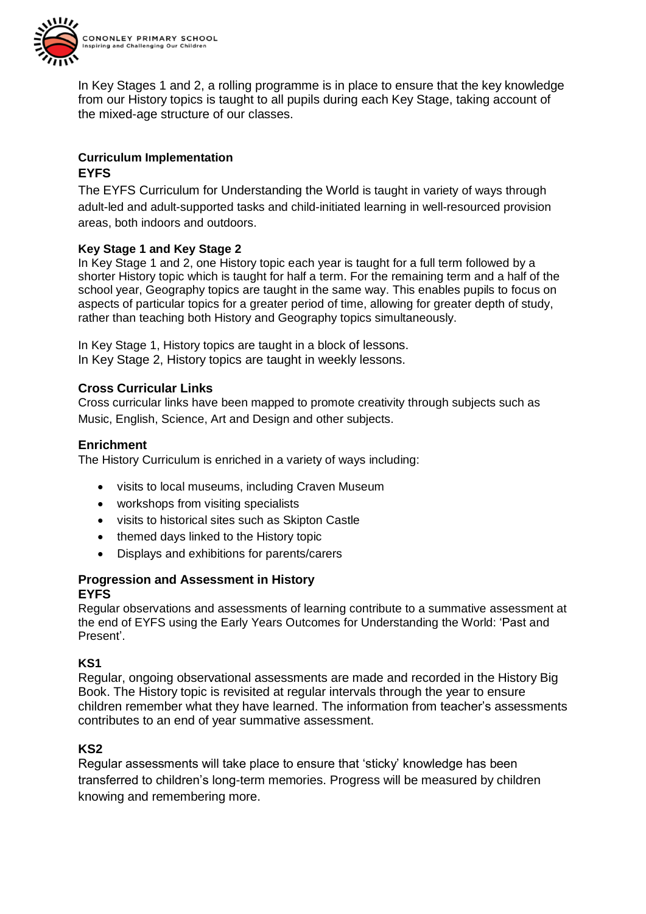

In Key Stages 1 and 2, a rolling programme is in place to ensure that the key knowledge from our History topics is taught to all pupils during each Key Stage, taking account of the mixed-age structure of our classes.

# **Curriculum Implementation EYFS**

The EYFS Curriculum for Understanding the World is taught in variety of ways through adult-led and adult-supported tasks and child-initiated learning in well-resourced provision areas, both indoors and outdoors.

## **Key Stage 1 and Key Stage 2**

In Key Stage 1 and 2, one History topic each year is taught for a full term followed by a shorter History topic which is taught for half a term. For the remaining term and a half of the school year, Geography topics are taught in the same way. This enables pupils to focus on aspects of particular topics for a greater period of time, allowing for greater depth of study, rather than teaching both History and Geography topics simultaneously.

In Key Stage 1, History topics are taught in a block of lessons. In Key Stage 2, History topics are taught in weekly lessons.

## **Cross Curricular Links**

Cross curricular links have been mapped to promote creativity through subjects such as Music, English, Science, Art and Design and other subjects.

## **Enrichment**

The History Curriculum is enriched in a variety of ways including:

- visits to local museums, including Craven Museum
- workshops from visiting specialists
- visits to historical sites such as Skipton Castle
- themed days linked to the History topic
- Displays and exhibitions for parents/carers

### **Progression and Assessment in History EYFS**

Regular observations and assessments of learning contribute to a summative assessment at the end of EYFS using the Early Years Outcomes for Understanding the World: 'Past and Present'.

## **KS1**

Regular, ongoing observational assessments are made and recorded in the History Big Book. The History topic is revisited at regular intervals through the year to ensure children remember what they have learned. The information from teacher's assessments contributes to an end of year summative assessment.

### **KS2**

Regular assessments will take place to ensure that 'sticky' knowledge has been transferred to children's long-term memories. Progress will be measured by children knowing and remembering more.